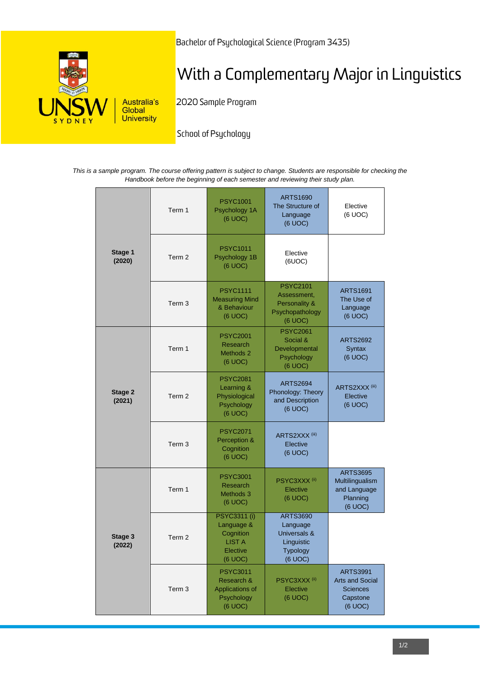

Bachelor of Psychological Science (Program 3435)

# With a Complementary Major in Linguistics

2020 Sample Program

School of Psychology

*This is a sample program. The course offering pattern is subject to change. Students are responsible for checking the Handbook before the beginning of each semester and reviewing their study plan.*

| Stage 1<br>(2020) | Term 1            | <b>PSYC1001</b><br>Psychology 1A<br>(6 UOC)                                                   | <b>ARTS1690</b><br>The Structure of<br>Language<br>(6 UOC)                                   | Elective<br>(6 UOC)                                                                 |
|-------------------|-------------------|-----------------------------------------------------------------------------------------------|----------------------------------------------------------------------------------------------|-------------------------------------------------------------------------------------|
|                   | Term 2            | <b>PSYC1011</b><br>Psychology 1B<br>(6 UOC)                                                   | Elective<br>(6UOC)                                                                           |                                                                                     |
|                   | Term <sub>3</sub> | <b>PSYC1111</b><br><b>Measuring Mind</b><br>& Behaviour<br>(6 UOC)                            | <b>PSYC2101</b><br>Assessment,<br>Personality &<br>Psychopathology<br>(6 UOC)                | <b>ARTS1691</b><br>The Use of<br>Language<br>(6 UOC)                                |
| Stage 2<br>(2021) | Term 1            | <b>PSYC2001</b><br>Research<br>Methods 2<br>(6 UOC)                                           | <b>PSYC2061</b><br>Social &<br>Developmental<br>Psychology<br>(6 UOC)                        | <b>ARTS2692</b><br>Syntax<br>(6 UOC)                                                |
|                   | Term 2            | <b>PSYC2081</b><br>Learning &<br>Physiological<br>Psychology<br>(6 UOC)                       | <b>ARTS2694</b><br>Phonology: Theory<br>and Description<br>(6 UOC)                           | ARTS2XXX <sup>(iii)</sup><br>Elective<br>(6 UOC)                                    |
|                   | Term <sub>3</sub> | <b>PSYC2071</b><br>Perception &<br>Cognition<br>(6 UOC)                                       | ARTS2XXX <sup>(iii)</sup><br>Elective<br>(6 UOC)                                             |                                                                                     |
| Stage 3<br>(2022) | Term 1            | <b>PSYC3001</b><br>Research<br>Methods 3<br>(6 UOC)                                           | PSYC3XXX <sup>(ii)</sup><br>Elective<br>(6 UOC)                                              | <b>ARTS3695</b><br>Multilingualism<br>and Language<br>Planning<br>(6 UOC)           |
|                   | Term <sub>2</sub> | <b>PSYC3311 (i)</b><br>Language &<br>Cognition<br><b>LIST A</b><br><b>Elective</b><br>(6 UOC) | <b>ARTS3690</b><br>Language<br>Universals &<br>Linguistic<br><b>Typology</b><br>$(6$ UOC $)$ |                                                                                     |
|                   | Term 3            | <b>PSYC3011</b><br>Research &<br>Applications of<br>Psychology<br>(6 UOC)                     | PSYC3XXX <sup>(ii)</sup><br><b>Elective</b><br>(6 UOC)                                       | <b>ARTS3991</b><br><b>Arts and Social</b><br><b>Sciences</b><br>Capstone<br>(6 UOC) |